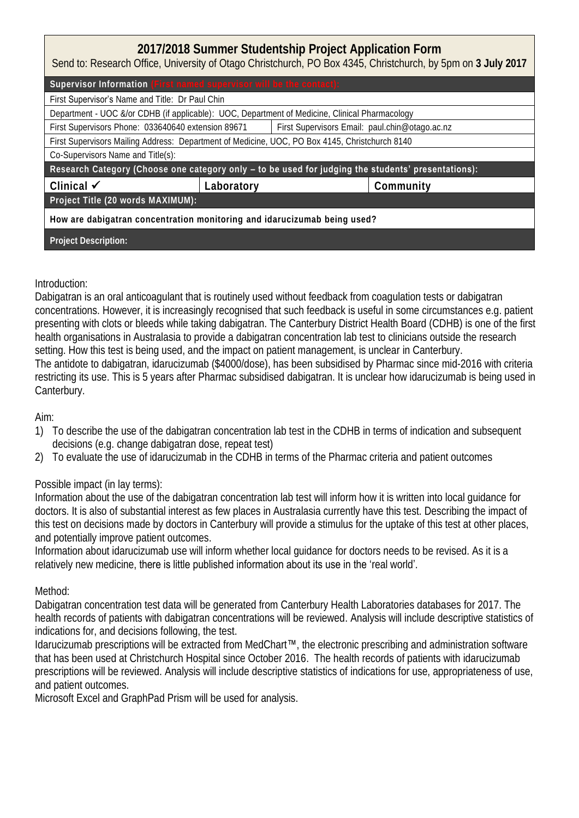# **2017/2018 Summer Studentship Project Application Form**

Send to: Research Office, University of Otago Christchurch, PO Box 4345, Christchurch, by 5pm on **3 July 2017**

| Supervisor Information (First named supervisor will be the contact):                               |            |                                                |  |  |  |
|----------------------------------------------------------------------------------------------------|------------|------------------------------------------------|--|--|--|
| First Supervisor's Name and Title: Dr Paul Chin                                                    |            |                                                |  |  |  |
| Department - UOC &/or CDHB (if applicable): UOC, Department of Medicine, Clinical Pharmacology     |            |                                                |  |  |  |
| First Supervisors Phone: 033640640 extension 89671                                                 |            | First Supervisors Email: paul.chin@otago.ac.nz |  |  |  |
| First Supervisors Mailing Address: Department of Medicine, UOC, PO Box 4145, Christchurch 8140     |            |                                                |  |  |  |
| Co-Supervisors Name and Title(s):                                                                  |            |                                                |  |  |  |
| Research Category (Choose one category only - to be used for judging the students' presentations): |            |                                                |  |  |  |
| Clinical $\checkmark$                                                                              | Laboratory | Community                                      |  |  |  |
| Project Title (20 words MAXIMUM):                                                                  |            |                                                |  |  |  |
| How are dabigatran concentration monitoring and idarucizumab being used?                           |            |                                                |  |  |  |
| Project Description:                                                                               |            |                                                |  |  |  |

### Introduction:

Dabigatran is an oral anticoagulant that is routinely used without feedback from coagulation tests or dabigatran concentrations. However, it is increasingly recognised that such feedback is useful in some circumstances e.g. patient presenting with clots or bleeds while taking dabigatran. The Canterbury District Health Board (CDHB) is one of the first health organisations in Australasia to provide a dabigatran concentration lab test to clinicians outside the research setting. How this test is being used, and the impact on patient management, is unclear in Canterbury. The antidote to dabigatran, idarucizumab (\$4000/dose), has been subsidised by Pharmac since mid-2016 with criteria restricting its use. This is 5 years after Pharmac subsidised dabigatran. It is unclear how idarucizumab is being used in Canterbury.

### Aim:

- 1) To describe the use of the dabigatran concentration lab test in the CDHB in terms of indication and subsequent decisions (e.g. change dabigatran dose, repeat test)
- 2) To evaluate the use of idarucizumab in the CDHB in terms of the Pharmac criteria and patient outcomes

## Possible impact (in lay terms):

Information about the use of the dabigatran concentration lab test will inform how it is written into local guidance for doctors. It is also of substantial interest as few places in Australasia currently have this test. Describing the impact of this test on decisions made by doctors in Canterbury will provide a stimulus for the uptake of this test at other places, and potentially improve patient outcomes.

Information about idarucizumab use will inform whether local guidance for doctors needs to be revised. As it is a relatively new medicine, there is little published information about its use in the 'real world'.

### Method:

Dabigatran concentration test data will be generated from Canterbury Health Laboratories databases for 2017. The health records of patients with dabigatran concentrations will be reviewed. Analysis will include descriptive statistics of indications for, and decisions following, the test.

Idarucizumab prescriptions will be extracted from MedChart™, the electronic prescribing and administration software that has been used at Christchurch Hospital since October 2016. The health records of patients with idarucizumab prescriptions will be reviewed. Analysis will include descriptive statistics of indications for use, appropriateness of use, and patient outcomes.

Microsoft Excel and GraphPad Prism will be used for analysis.